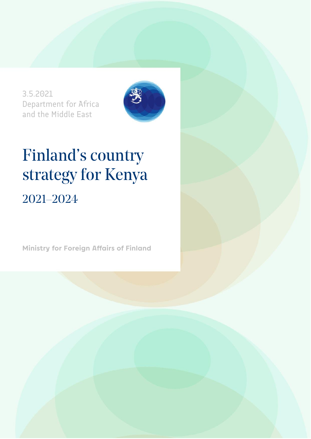3.5.2021 Department for Africa and the Middle East



# Finland's country strategy for Kenya 2021–2024

**Ministry for Foreign Affairs of Finland**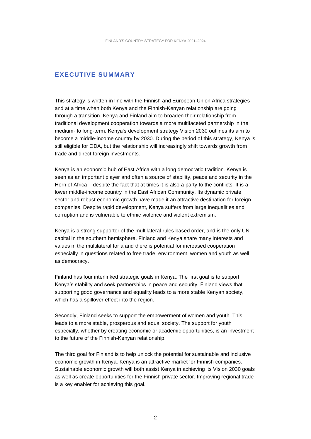#### **EXECUTIVE SUMMARY**

This strategy is written in line with the Finnish and European Union Africa strategies and at a time when both Kenya and the Finnish-Kenyan relationship are going through a transition. Kenya and Finland aim to broaden their relationship from traditional development cooperation towards a more multifaceted partnership in the medium- to long-term. Kenya's development strategy Vision 2030 outlines its aim to become a middle-income country by 2030. During the period of this strategy, Kenya is still eligible for ODA, but the relationship will increasingly shift towards growth from trade and direct foreign investments.

Kenya is an economic hub of East Africa with a long democratic tradition. Kenya is seen as an important player and often a source of stability, peace and security in the Horn of Africa – despite the fact that at times it is also a party to the conflicts. It is a lower middle-income country in the East African Community. Its dynamic private sector and robust economic growth have made it an attractive destination for foreign companies. Despite rapid development, Kenya suffers from large inequalities and corruption and is vulnerable to ethnic violence and violent extremism.

Kenya is a strong supporter of the multilateral rules based order, and is the only UN capital in the southern hemisphere. Finland and Kenya share many interests and values in the multilateral for a and there is potential for increased cooperation especially in questions related to free trade, environment, women and youth as well as democracy.

Finland has four interlinked strategic goals in Kenya. The first goal is to support Kenya's stability and seek partnerships in peace and security. Finland views that supporting good governance and equality leads to a more stable Kenyan society, which has a spillover effect into the region.

Secondly, Finland seeks to support the empowerment of women and youth. This leads to a more stable, prosperous and equal society. The support for youth especially, whether by creating economic or academic opportunities, is an investment to the future of the Finnish-Kenyan relationship.

The third goal for Finland is to help unlock the potential for sustainable and inclusive economic growth in Kenya. Kenya is an attractive market for Finnish companies. Sustainable economic growth will both assist Kenya in achieving its Vision 2030 goals as well as create opportunities for the Finnish private sector. Improving regional trade is a key enabler for achieving this goal.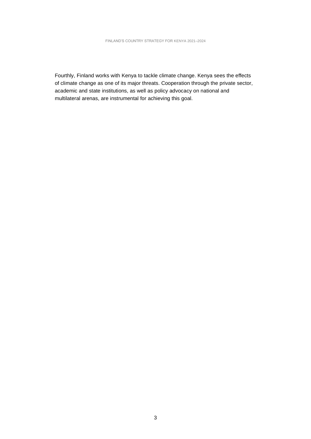Fourthly, Finland works with Kenya to tackle climate change. Kenya sees the effects of climate change as one of its major threats. Cooperation through the private sector, academic and state institutions, as well as policy advocacy on national and multilateral arenas, are instrumental for achieving this goal.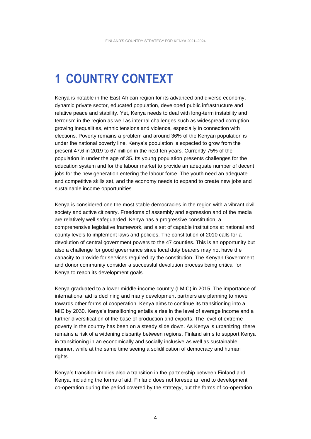## **1 COUNTRY CONTEXT**

Kenya is notable in the East African region for its advanced and diverse economy, dynamic private sector, educated population, developed public infrastructure and relative peace and stability. Yet, Kenya needs to deal with long-term instability and terrorism in the region as well as internal challenges such as widespread corruption, growing inequalities, ethnic tensions and violence, especially in connection with elections. Poverty remains a problem and around 36% of the Kenyan population is under the national poverty line. Kenya's population is expected to grow from the present 47,6 in 2019 to 67 million in the next ten years. Currently 75% of the population in under the age of 35. Its young population presents challenges for the education system and for the labour market to provide an adequate number of decent jobs for the new generation entering the labour force. The youth need an adequate and competitive skills set, and the economy needs to expand to create new jobs and sustainable income opportunities.

Kenya is considered one the most stable democracies in the region with a vibrant civil society and active citizenry. Freedoms of assembly and expression and of the media are relatively well safeguarded. Kenya has a progressive constitution, a comprehensive legislative framework, and a set of capable institutions at national and county levels to implement laws and policies. The constitution of 2010 calls for a devolution of central government powers to the 47 counties. This is an opportunity but also a challenge for good governance since local duty bearers may not have the capacity to provide for services required by the constitution. The Kenyan Government and donor community consider a successful devolution process being critical for Kenya to reach its development goals.

Kenya graduated to a lower middle-income country (LMIC) in 2015. The importance of international aid is declining and many development partners are planning to move towards other forms of cooperation. Kenya aims to continue its transitioning into a MIC by 2030. Kenya's transitioning entails a rise in the level of average income and a further diversification of the base of production and exports. The level of extreme poverty in the country has been on a steady slide down. As Kenya is urbanizing, there remains a risk of a widening disparity between regions. Finland aims to support Kenya in transitioning in an economically and socially inclusive as well as sustainable manner, while at the same time seeing a solidification of democracy and human rights.

Kenya's transition implies also a transition in the partnership between Finland and Kenya, including the forms of aid. Finland does not foresee an end to development co-operation during the period covered by the strategy, but the forms of co-operation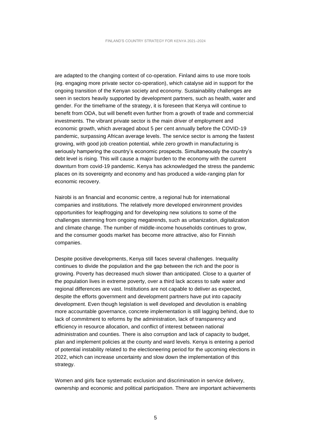are adapted to the changing context of co-operation. Finland aims to use more tools (eg. engaging more private sector co-operation), which catalyse aid in support for the ongoing transition of the Kenyan society and economy. Sustainability challenges are seen in sectors heavily supported by development partners, such as health, water and gender. For the timeframe of the strategy, it is foreseen that Kenya will continue to benefit from ODA, but will benefit even further from a growth of trade and commercial investments. The vibrant private sector is the main driver of employment and economic growth, which averaged about 5 per cent annually before the COVID-19 pandemic, surpassing African average levels. The service sector is among the fastest growing, with good job creation potential, while zero growth in manufacturing is seriously hampering the country's economic prospects. Simultaneously the country's debt level is rising. This will cause a major burden to the economy with the current downturn from covid-19 pandemic. Kenya has acknowledged the stress the pandemic places on its sovereignty and economy and has produced a wide-ranging plan for economic recovery.

Nairobi is an financial and economic centre, a regional hub for international companies and institutions. The relatively more developed environment provides opportunities for leapfrogging and for developing new solutions to some of the challenges stemming from ongoing megatrends, such as urbanization, digitalization and climate change. The number of middle-income households continues to grow, and the consumer goods market has become more attractive, also for Finnish companies.

Despite positive developments, Kenya still faces several challenges. Inequality continues to divide the population and the gap between the rich and the poor is growing. Poverty has decreased much slower than anticipated. Close to a quarter of the population lives in extreme poverty, over a third lack access to safe water and regional differences are vast. Institutions are not capable to deliver as expected, despite the efforts government and development partners have put into capacity development. Even though legislation is well developed and devolution is enabling more accountable governance, concrete implementation is still lagging behind, due to lack of commitment to reforms by the administration, lack of transparency and efficiency in resource allocation, and conflict of interest between national administration and counties. There is also corruption and lack of capacity to budget, plan and implement policies at the county and ward levels. Kenya is entering a period of potential instability related to the electioneering period for the upcoming elections in 2022, which can increase uncertainty and slow down the implementation of this strategy.

Women and girls face systematic exclusion and discrimination in service delivery, ownership and economic and political participation. There are important achievements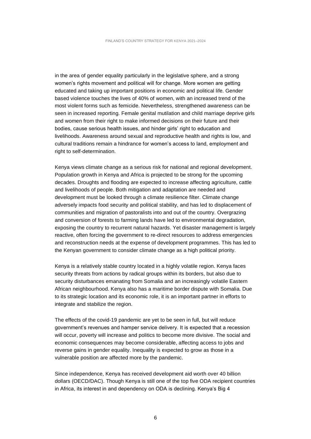in the area of gender equality particularly in the legislative sphere, and a strong women's rights movement and political will for change. More women are getting educated and taking up important positions in economic and political life. Gender based violence touches the lives of 40% of women, with an increased trend of the most violent forms such as femicide. Nevertheless, strengthened awareness can be seen in increased reporting. Female genital mutilation and child marriage deprive girls and women from their right to make informed decisions on their future and their bodies, cause serious health issues, and hinder girls' right to education and livelihoods. Awareness around sexual and reproductive health and rights is low, and cultural traditions remain a hindrance for women's access to land, employment and right to self-determination.

Kenya views climate change as a serious risk for national and regional development. Population growth in Kenya and Africa is projected to be strong for the upcoming decades. Droughts and flooding are expected to increase affecting agriculture, cattle and livelihoods of people. Both mitigation and adaptation are needed and development must be looked through a climate resilience filter. Climate change adversely impacts food security and political stability, and has led to displacement of communities and migration of pastoralists into and out of the country. Overgrazing and conversion of forests to farming lands have led to environmental degradation, exposing the country to recurrent natural hazards. Yet disaster management is largely reactive, often forcing the government to re-direct resources to address emergencies and reconstruction needs at the expense of development programmes. This has led to the Kenyan government to consider climate change as a high political priority.

Kenya is a relatively stable country located in a highly volatile region. Kenya faces security threats from actions by radical groups within its borders, but also due to security disturbances emanating from Somalia and an increasingly volatile Eastern African neighbourhood. Kenya also has a maritime border dispute with Somalia. Due to its strategic location and its economic role, it is an important partner in efforts to integrate and stabilize the region.

The effects of the covid-19 pandemic are yet to be seen in full, but will reduce government's revenues and hamper service delivery. It is expected that a recession will occur, poverty will increase and politics to become more divisive. The social and economic consequences may become considerable, affecting access to jobs and reverse gains in gender equality. Inequality is expected to grow as those in a vulnerable position are affected more by the pandemic.

Since independence, Kenya has received development aid worth over 40 billion dollars (OECD/DAC). Though Kenya is still one of the top five ODA recipient countries in Africa, its interest in and dependency on ODA is declining. Kenya's Big 4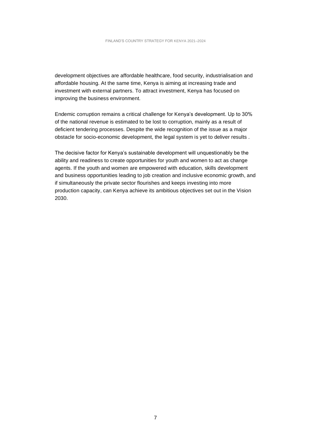development objectives are affordable healthcare, food security, industrialisation and affordable housing. At the same time, Kenya is aiming at increasing trade and investment with external partners. To attract investment, Kenya has focused on improving the business environment.

Endemic corruption remains a critical challenge for Kenya's development. Up to 30% of the national revenue is estimated to be lost to corruption, mainly as a result of deficient tendering processes. Despite the wide recognition of the issue as a major obstacle for socio-economic development, the legal system is yet to deliver results .

The decisive factor for Kenya's sustainable development will unquestionably be the ability and readiness to create opportunities for youth and women to act as change agents. If the youth and women are empowered with education, skills development and business opportunities leading to job creation and inclusive economic growth, and if simultaneously the private sector flourishes and keeps investing into more production capacity, can Kenya achieve its ambitious objectives set out in the Vision 2030.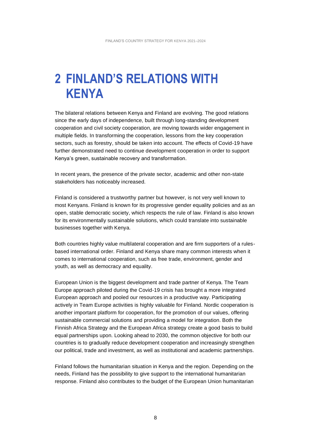### **2 FINLAND'S RELATIONS WITH KENYA**

The bilateral relations between Kenya and Finland are evolving. The good relations since the early days of independence, built through long-standing development cooperation and civil society cooperation, are moving towards wider engagement in multiple fields. In transforming the cooperation, lessons from the key cooperation sectors, such as forestry, should be taken into account. The effects of Covid-19 have further demonstrated need to continue development cooperation in order to support Kenya's green, sustainable recovery and transformation.

In recent years, the presence of the private sector, academic and other non-state stakeholders has noticeably increased.

Finland is considered a trustworthy partner but however, is not very well known to most Kenyans. Finland is known for its progressive gender equality policies and as an open, stable democratic society, which respects the rule of law. Finland is also known for its environmentally sustainable solutions, which could translate into sustainable businesses together with Kenya.

Both countries highly value multilateral cooperation and are firm supporters of a rulesbased international order. Finland and Kenya share many common interests when it comes to international cooperation, such as free trade, environment, gender and youth, as well as democracy and equality.

European Union is the biggest development and trade partner of Kenya. The Team Europe approach piloted during the Covid-19 crisis has brought a more integrated European approach and pooled our resources in a productive way. Participating actively in Team Europe activities is highly valuable for Finland. Nordic cooperation is another important platform for cooperation, for the promotion of our values, offering sustainable commercial solutions and providing a model for integration. Both the Finnish Africa Strategy and the European Africa strategy create a good basis to build equal partnerships upon. Looking ahead to 2030, the common objective for both our countries is to gradually reduce development cooperation and increasingly strengthen our political, trade and investment, as well as institutional and academic partnerships.

Finland follows the humanitarian situation in Kenya and the region. Depending on the needs, Finland has the possibility to give support to the international humanitarian response. Finland also contributes to the budget of the European Union humanitarian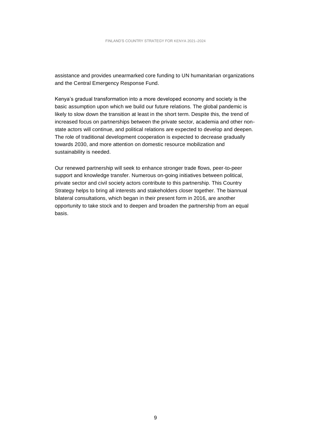assistance and provides unearmarked core funding to UN humanitarian organizations and the Central Emergency Response Fund.

Kenya's gradual transformation into a more developed economy and society is the basic assumption upon which we build our future relations. The global pandemic is likely to slow down the transition at least in the short term. Despite this, the trend of increased focus on partnerships between the private sector, academia and other nonstate actors will continue, and political relations are expected to develop and deepen. The role of traditional development cooperation is expected to decrease gradually towards 2030, and more attention on domestic resource mobilization and sustainability is needed.

Our renewed partnership will seek to enhance stronger trade flows, peer-to-peer support and knowledge transfer. Numerous on-going initiatives between political, private sector and civil society actors contribute to this partnership. This Country Strategy helps to bring all interests and stakeholders closer together. The biannual bilateral consultations, which began in their present form in 2016, are another opportunity to take stock and to deepen and broaden the partnership from an equal basis.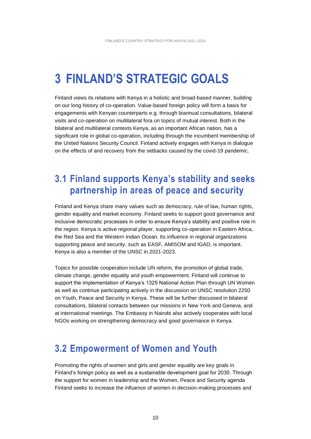### **3 FINLAND'S STRATEGIC GOALS**

Finland views its relations with Kenya in a holistic and broad-based manner, building on our long history of co-operation. Value-based foreign policy will form a basis for engagements with Kenyan counterparts e.g. through biannual consultations, bilateral visits and co-operation on multilateral fora on topics of mutual interest. Both in the bilateral and multilateral contexts Kenya, as an important African nation, has a significant role in global co-operation, including through the incumbent membership of the United Nations Security Council. Finland actively engages with Kenya in dialogue on the effects of and recovery from the setbacks caused by the covid-19 pandemic.

### **3.1 Finland supports Kenya's stability and seeks partnership in areas of peace and security**

Finland and Kenya share many values such as democracy, rule of law, human rights, gender equality and market economy. Finland seeks to support good governance and inclusive democratic processes in order to ensure Kenya's stability and positive role in the region. Kenya is active regional player, supporting co-operation in Eastern Africa, the Red Sea and the Western Indian Ocean. Its influence in regional organizations supporting peace and security, such as EASF, AMISOM and IGAD, is important. Kenya is also a member of the UNSC in 2021-2023.

Topics for possible cooperation include UN reform, the promotion of global trade, climate change, gender equality and youth empowerment. Finland will continue to support the implementation of Kenya's 1325 National Action Plan through UN Women as well as continue participating actively in the discussion on UNSC resolution 2250 on Youth, Peace and Security in Kenya. These will be further discussed in bilateral consultations, bilateral contacts between our missions in New York and Geneva, and at international meetings. The Embassy in Nairobi also actively cooperates with local NGOs working on strengthening democracy and good governance in Kenya.

#### **3.2 Empowerment of Women and Youth**

Promoting the rights of women and girls and gender equality are key goals in Finland's foreign policy as well as a sustainable development goal for 2030. Through the support for women in leadership and the Women, Peace and Security agenda Finland seeks to increase the influence of women in decision-making processes and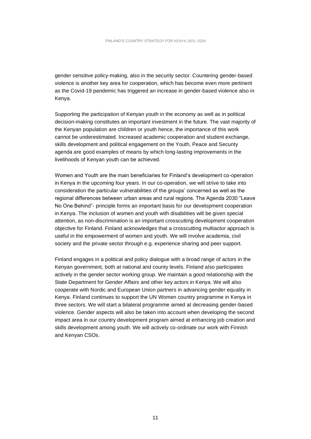gender sensitive policy-making, also in the security sector. Countering gender-based violence is another key area for cooperation, which has become even more pertinent as the Covid-19 pandemic has triggered an increase in gender-based violence also in Kenya.

Supporting the participation of Kenyan youth in the economy as well as in political decision-making constitutes an important investment in the future. The vast majority of the Kenyan population are children or youth hence, the importance of this work cannot be underestimated. Increased academic cooperation and student exchange, skills development and political engagement on the Youth, Peace and Security agenda are good examples of means by which long-lasting improvements in the livelihoods of Kenyan youth can be achieved.

Women and Youth are the main beneficiaries for Finland's development co-operation in Kenya in the upcoming four years. In our co-operation, we will strive to take into consideration the particular vulnerabilities of the groups' concerned as well as the regional differences between urban areas and rural regions. The Agenda 2030 "Leave No One Behind"- principle forms an important basis for our development cooperation in Kenya. The inclusion of women and youth with disabilities will be given special attention, as non-discrimination is an important crosscutting development cooperation objective for Finland. Finland acknowledges that a crosscutting multiactor approach is useful in the empowerment of women and youth. We will involve academia, civil society and the private sector through e.g. experience sharing and peer support.

Finland engages in a political and policy dialogue with a broad range of actors in the Kenyan government, both at national and county levels. Finland also participates actively in the gender sector working group. We maintain a good relationship with the State Department for Gender Affairs and other key actors in Kenya. We will also cooperate with Nordic and European Union partners in advancing gender equality in Kenya. Finland continues to support the UN Women country programme in Kenya in three sectors. We will start a bilateral programme aimed at decreasing gender-based violence. Gender aspects will also be taken into account when developing the second impact area in our country development program aimed at enhancing job creation and skills development among youth. We will actively co-ordinate our work with Finnish and Kenyan CSOs.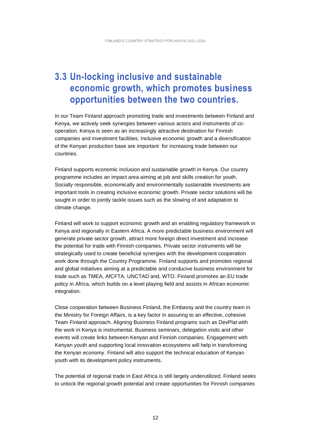### **3.3 Un-locking inclusive and sustainable economic growth, which promotes business opportunities between the two countries.**

In our Team Finland approach promoting trade and investments between Finland and Kenya, we actively seek synergies between various actors and instruments of cooperation. Kenya is seen as an increasingly attractive destination for Finnish companies and investment facilities. Inclusive economic growth and a diversification of the Kenyan production base are important for increasing trade between our countries.

Finland supports economic inclusion and sustainable growth in Kenya. Our country programme includes an impact area aiming at job and skills creation for youth. Socially responsible, economically and environmentally sustainable investments are important tools in creating inclusive economic growth. Private sector solutions will be sought in order to jointly tackle issues such as the slowing of and adaptation to climate change.

Finland will work to support economic growth and an enabling regulatory framework in Kenya and regionally in Eastern Africa. A more predictable business environment will generate private sector growth, attract more foreign direct investment and increase the potential for trade with Finnish companies. Private sector instruments will be strategically used to create beneficial synergies with the development cooperation work done through the Country Programme. Finland supports and promotes regional and global initiatives aiming at a predictable and conducive business environment for trade such as TMEA, AfCFTA, UNCTAD and, WTO. Finland promotes an EU trade policy in Africa, which builds on a level playing field and assists in African economic integration.

Close cooperation between Business Finland, the Embassy and the country team in the Ministry for Foreign Affairs, is a key factor in assuring to an effective, cohesive Team Finland approach. Aligning Business Finland programs such as DevPlat with the work in Kenya is instrumental. Business seminars, delegation visits and other events will create links between Kenyan and Finnish companies. Engagement with Kenyan youth and supporting local innovation ecosystems will help in transforming the Kenyan economy. Finland will also support the technical education of Kenyan youth with its development policy instruments.

The potential of regional trade in East Africa is still largely underutilized. Finland seeks to unlock the regional growth potential and create opportunities for Finnish companies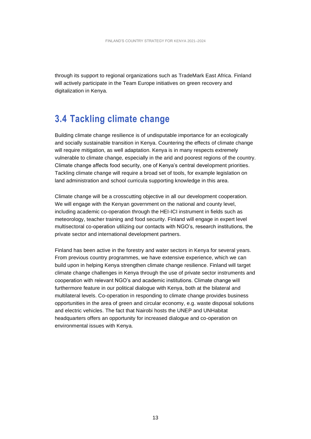through its support to regional organizations such as TradeMark East Africa. Finland will actively participate in the Team Europe initiatives on green recovery and digitalization in Kenya.

#### **3.4 Tackling climate change**

Building climate change resilience is of undisputable importance for an ecologically and socially sustainable transition in Kenya. Countering the effects of climate change will require mitigation, as well adaptation. Kenya is in many respects extremely vulnerable to climate change, especially in the arid and poorest regions of the country. Climate change affects food security, one of Kenya's central development priorities. Tackling climate change will require a broad set of tools, for example legislation on land administration and school curricula supporting knowledge in this area.

Climate change will be a crosscutting objective in all our development cooperation. We will engage with the Kenyan government on the national and county level, including academic co-operation through the HEI-ICI instrument in fields such as meteorology, teacher training and food security. Finland will engage in expert level multisectoral co-operation utilizing our contacts with NGO's, research institutions, the private sector and international development partners.

Finland has been active in the forestry and water sectors in Kenya for several years. From previous country programmes, we have extensive experience, which we can build upon in helping Kenya strengthen climate change resilience. Finland will target climate change challenges in Kenya through the use of private sector instruments and cooperation with relevant NGO's and academic institutions. Climate change will furthermore feature in our political dialogue with Kenya, both at the bilateral and multilateral levels. Co-operation in responding to climate change provides business opportunities in the area of green and circular economy, e.g. waste disposal solutions and electric vehicles. The fact that Nairobi hosts the UNEP and UNHabitat headquarters offers an opportunity for increased dialogue and co-operation on environmental issues with Kenya.